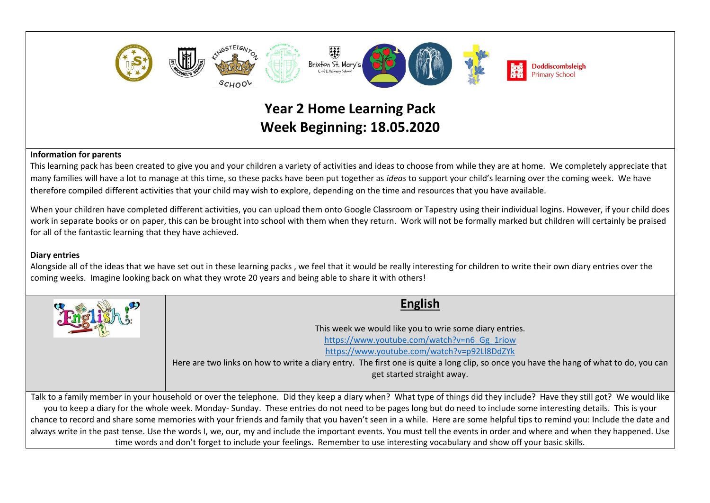

## **Information for parents**

This learning pack has been created to give you and your children a variety of activities and ideas to choose from while they are at home. We completely appreciate that many families will have a lot to manage at this time, so these packs have been put together as *ideas* to support your child's learning over the coming week. We have therefore compiled different activities that your child may wish to explore, depending on the time and resources that you have available.

When your children have completed different activities, you can upload them onto Google Classroom or Tapestry using their individual logins. However, if your child does work in separate books or on paper, this can be brought into school with them when they return. Work will not be formally marked but children will certainly be praised for all of the fantastic learning that they have achieved.

## **Diary entries**

Alongside all of the ideas that we have set out in these learning packs , we feel that it would be really interesting for children to write their own diary entries over the coming weeks. Imagine looking back on what they wrote 20 years and being able to share it with others!

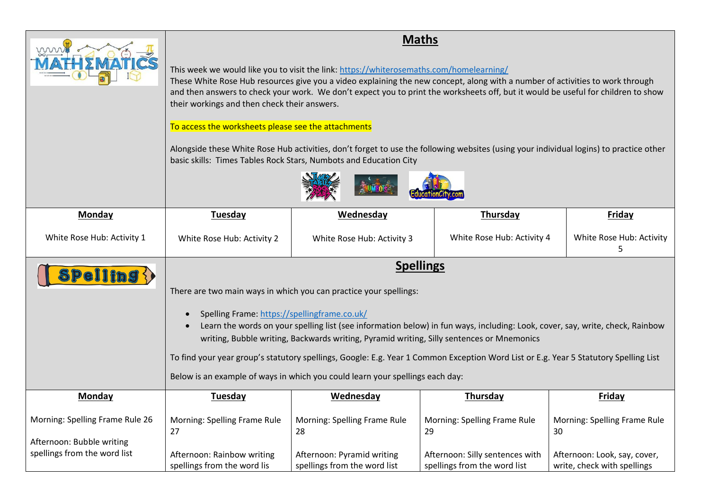| mm                                                                                           | their workings and then check their answers.<br>To access the worksheets please see the attachments | This week we would like you to visit the link: https://whiterosemaths.com/homelearning/<br>basic skills: Times Tables Rock Stars, Numbots and Education City                                                                                    | <b>Maths</b><br>These White Rose Hub resources give you a video explaining the new concept, along with a number of activities to work through<br>and then answers to check your work. We don't expect you to print the worksheets off, but it would be useful for children to show<br>Alongside these White Rose Hub activities, don't forget to use the following websites (using your individual logins) to practice other |                                                                    |
|----------------------------------------------------------------------------------------------|-----------------------------------------------------------------------------------------------------|-------------------------------------------------------------------------------------------------------------------------------------------------------------------------------------------------------------------------------------------------|------------------------------------------------------------------------------------------------------------------------------------------------------------------------------------------------------------------------------------------------------------------------------------------------------------------------------------------------------------------------------------------------------------------------------|--------------------------------------------------------------------|
| <b>Monday</b>                                                                                | <b>Tuesday</b>                                                                                      | Wednesday                                                                                                                                                                                                                                       | Thursday                                                                                                                                                                                                                                                                                                                                                                                                                     | <b>Friday</b>                                                      |
| White Rose Hub: Activity 1                                                                   | White Rose Hub: Activity 2                                                                          | White Rose Hub: Activity 3                                                                                                                                                                                                                      | White Rose Hub: Activity 4                                                                                                                                                                                                                                                                                                                                                                                                   | White Rose Hub: Activity<br>5                                      |
| <b>Spelling {}</b>                                                                           | Spelling Frame: https://spellingframe.co.uk/<br>$\bullet$<br>$\bullet$                              | There are two main ways in which you can practice your spellings:<br>writing, Bubble writing, Backwards writing, Pyramid writing, Silly sentences or Mnemonics<br>Below is an example of ways in which you could learn your spellings each day: | <b>Spellings</b><br>Learn the words on your spelling list (see information below) in fun ways, including: Look, cover, say, write, check, Rainbow<br>To find your year group's statutory spellings, Google: E.g. Year 1 Common Exception Word List or E.g. Year 5 Statutory Spelling List                                                                                                                                    |                                                                    |
| Monday                                                                                       | Tuesday                                                                                             | Wednesday                                                                                                                                                                                                                                       | Thursday                                                                                                                                                                                                                                                                                                                                                                                                                     | <b>Friday</b>                                                      |
| Morning: Spelling Frame Rule 26<br>Afternoon: Bubble writing<br>spellings from the word list | Morning: Spelling Frame Rule<br>27<br>Afternoon: Rainbow writing                                    | Morning: Spelling Frame Rule<br>28<br>Afternoon: Pyramid writing                                                                                                                                                                                | Morning: Spelling Frame Rule<br>29<br>Afternoon: Silly sentences with                                                                                                                                                                                                                                                                                                                                                        | Morning: Spelling Frame Rule<br>30<br>Afternoon: Look, say, cover, |
|                                                                                              | spellings from the word lis                                                                         | spellings from the word list                                                                                                                                                                                                                    | spellings from the word list                                                                                                                                                                                                                                                                                                                                                                                                 | write, check with spellings                                        |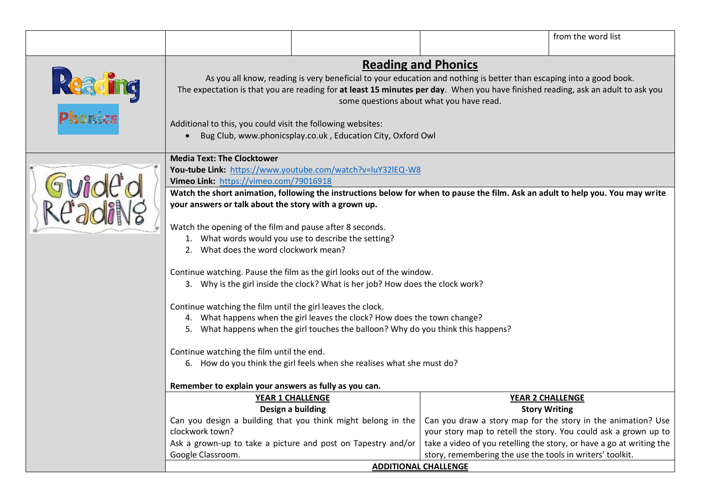|                    |                                                                                                                                                           |                                                                                                                                                                                                                                                         |                                                           | from the word list                                                   |
|--------------------|-----------------------------------------------------------------------------------------------------------------------------------------------------------|---------------------------------------------------------------------------------------------------------------------------------------------------------------------------------------------------------------------------------------------------------|-----------------------------------------------------------|----------------------------------------------------------------------|
|                    |                                                                                                                                                           |                                                                                                                                                                                                                                                         | <b>Reading and Phonics</b>                                |                                                                      |
| Reading<br>Phonics | Additional to this, you could visit the following websites:                                                                                               | As you all know, reading is very beneficial to your education and nothing is better than escaping into a good book.<br>The expectation is that you are reading for at least 15 minutes per day. When you have finished reading, ask an adult to ask you | some questions about what you have read.                  |                                                                      |
|                    |                                                                                                                                                           | Bug Club, www.phonicsplay.co.uk, Education City, Oxford Owl                                                                                                                                                                                             |                                                           |                                                                      |
|                    | <b>Media Text: The Clocktower</b>                                                                                                                         |                                                                                                                                                                                                                                                         |                                                           |                                                                      |
|                    | Vimeo Link: https://vimeo.com/79016918                                                                                                                    | You-tube Link: https://www.youtube.com/watch?v=luY32lEQ-W8                                                                                                                                                                                              |                                                           |                                                                      |
|                    |                                                                                                                                                           | Watch the short animation, following the instructions below for when to pause the film. Ask an adult to help you. You may write                                                                                                                         |                                                           |                                                                      |
|                    | your answers or talk about the story with a grown up.                                                                                                     |                                                                                                                                                                                                                                                         |                                                           |                                                                      |
|                    | Watch the opening of the film and pause after 8 seconds.<br>1. What words would you use to describe the setting?<br>2. What does the word clockwork mean? |                                                                                                                                                                                                                                                         |                                                           |                                                                      |
|                    |                                                                                                                                                           | Continue watching. Pause the film as the girl looks out of the window.<br>3. Why is the girl inside the clock? What is her job? How does the clock work?                                                                                                |                                                           |                                                                      |
|                    | Continue watching the film until the girl leaves the clock.                                                                                               |                                                                                                                                                                                                                                                         |                                                           |                                                                      |
|                    |                                                                                                                                                           | 4. What happens when the girl leaves the clock? How does the town change?                                                                                                                                                                               |                                                           |                                                                      |
|                    |                                                                                                                                                           | 5. What happens when the girl touches the balloon? Why do you think this happens?                                                                                                                                                                       |                                                           |                                                                      |
|                    | Continue watching the film until the end.                                                                                                                 |                                                                                                                                                                                                                                                         |                                                           |                                                                      |
|                    |                                                                                                                                                           | 6. How do you think the girl feels when she realises what she must do?                                                                                                                                                                                  |                                                           |                                                                      |
|                    |                                                                                                                                                           |                                                                                                                                                                                                                                                         |                                                           |                                                                      |
|                    | Remember to explain your answers as fully as you can.                                                                                                     | <b>YEAR 1 CHALLENGE</b>                                                                                                                                                                                                                                 |                                                           | <b>YEAR 2 CHALLENGE</b>                                              |
|                    |                                                                                                                                                           | Design a building                                                                                                                                                                                                                                       | <b>Story Writing</b>                                      |                                                                      |
|                    |                                                                                                                                                           | Can you design a building that you think might belong in the                                                                                                                                                                                            |                                                           | Can you draw a story map for the story in the animation? Use         |
|                    | clockwork town?                                                                                                                                           |                                                                                                                                                                                                                                                         |                                                           | your story map to retell the story. You could ask a grown up to      |
|                    |                                                                                                                                                           | Ask a grown-up to take a picture and post on Tapestry and/or                                                                                                                                                                                            |                                                           | take a video of you retelling the story, or have a go at writing the |
|                    | Google Classroom.                                                                                                                                         |                                                                                                                                                                                                                                                         | story, remembering the use the tools in writers' toolkit. |                                                                      |
|                    |                                                                                                                                                           | <b>ADDITIONAL CHALLENGE</b>                                                                                                                                                                                                                             |                                                           |                                                                      |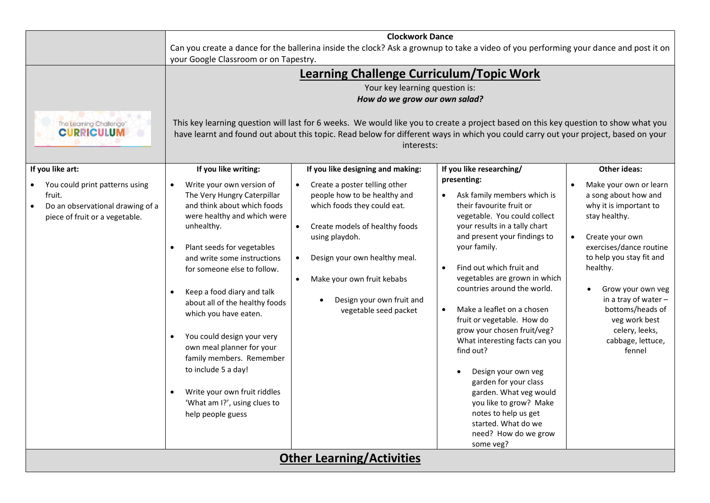|                                                                                                                                    |                                                                                                                                                                                                                                                                                                                                                                                                                                                                                                                                                                   | <b>Clockwork Dance</b>                                                                                                                                                                                                                                                                                                                                                                                        |                                                                                                                                                                                                                                                                                                                                                                                                                                                                                                                                                                                                                                                                             |                                                                                                                                                                                                                                                                                                                                           |
|------------------------------------------------------------------------------------------------------------------------------------|-------------------------------------------------------------------------------------------------------------------------------------------------------------------------------------------------------------------------------------------------------------------------------------------------------------------------------------------------------------------------------------------------------------------------------------------------------------------------------------------------------------------------------------------------------------------|---------------------------------------------------------------------------------------------------------------------------------------------------------------------------------------------------------------------------------------------------------------------------------------------------------------------------------------------------------------------------------------------------------------|-----------------------------------------------------------------------------------------------------------------------------------------------------------------------------------------------------------------------------------------------------------------------------------------------------------------------------------------------------------------------------------------------------------------------------------------------------------------------------------------------------------------------------------------------------------------------------------------------------------------------------------------------------------------------------|-------------------------------------------------------------------------------------------------------------------------------------------------------------------------------------------------------------------------------------------------------------------------------------------------------------------------------------------|
|                                                                                                                                    | your Google Classroom or on Tapestry.                                                                                                                                                                                                                                                                                                                                                                                                                                                                                                                             | Can you create a dance for the ballerina inside the clock? Ask a grownup to take a video of you performing your dance and post it on                                                                                                                                                                                                                                                                          |                                                                                                                                                                                                                                                                                                                                                                                                                                                                                                                                                                                                                                                                             |                                                                                                                                                                                                                                                                                                                                           |
| The Learning Challenge <sup>®</sup><br><b>CURRICULUM</b>                                                                           |                                                                                                                                                                                                                                                                                                                                                                                                                                                                                                                                                                   | <b>Learning Challenge Curriculum/Topic Work</b><br>Your key learning question is:<br>How do we grow our own salad?<br>This key learning question will last for 6 weeks. We would like you to create a project based on this key question to show what you<br>have learnt and found out about this topic. Read below for different ways in which you could carry out your project, based on your<br>interests: |                                                                                                                                                                                                                                                                                                                                                                                                                                                                                                                                                                                                                                                                             |                                                                                                                                                                                                                                                                                                                                           |
| If you like art:<br>You could print patterns using<br>fruit.<br>Do an observational drawing of a<br>piece of fruit or a vegetable. | If you like writing:<br>Write your own version of<br>The Very Hungry Caterpillar<br>and think about which foods<br>were healthy and which were<br>unhealthy.<br>Plant seeds for vegetables<br>and write some instructions<br>for someone else to follow.<br>Keep a food diary and talk<br>$\bullet$<br>about all of the healthy foods<br>which you have eaten.<br>You could design your very<br>own meal planner for your<br>family members. Remember<br>to include 5 a day!<br>Write your own fruit riddles<br>'What am I?', using clues to<br>help people guess | If you like designing and making:<br>Create a poster telling other<br>people how to be healthy and<br>which foods they could eat.<br>Create models of healthy foods<br>$\bullet$<br>using playdoh.<br>Design your own healthy meal.<br>$\bullet$<br>Make your own fruit kebabs<br>$\bullet$<br>Design your own fruit and<br>vegetable seed packet                                                             | If you like researching/<br>presenting:<br>Ask family members which is<br>$\bullet$<br>their favourite fruit or<br>vegetable. You could collect<br>your results in a tally chart<br>and present your findings to<br>your family.<br>Find out which fruit and<br>$\bullet$<br>vegetables are grown in which<br>countries around the world.<br>Make a leaflet on a chosen<br>$\bullet$<br>fruit or vegetable. How do<br>grow your chosen fruit/veg?<br>What interesting facts can you<br>find out?<br>Design your own veg<br>garden for your class<br>garden. What veg would<br>you like to grow? Make<br>notes to help us get<br>started. What do we<br>need? How do we grow | <b>Other ideas:</b><br>Make your own or learn<br>a song about how and<br>why it is important to<br>stay healthy.<br>Create your own<br>exercises/dance routine<br>to help you stay fit and<br>healthy.<br>Grow your own veg<br>in a tray of water -<br>bottoms/heads of<br>veg work best<br>celery, leeks,<br>cabbage, lettuce,<br>fennel |
|                                                                                                                                    |                                                                                                                                                                                                                                                                                                                                                                                                                                                                                                                                                                   | <b>Other Learning/Activities</b>                                                                                                                                                                                                                                                                                                                                                                              | some veg?                                                                                                                                                                                                                                                                                                                                                                                                                                                                                                                                                                                                                                                                   |                                                                                                                                                                                                                                                                                                                                           |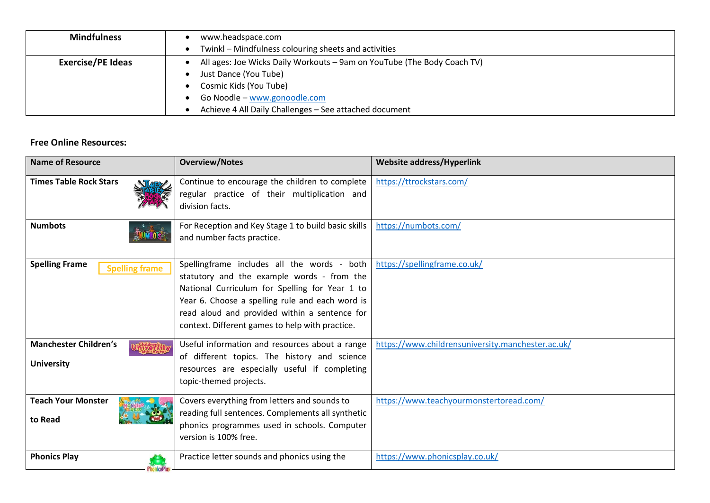| <b>Mindfulness</b>       | www.headspace.com                                                       |
|--------------------------|-------------------------------------------------------------------------|
|                          | Twinkl – Mindfulness colouring sheets and activities                    |
| <b>Exercise/PE Ideas</b> | All ages: Joe Wicks Daily Workouts - 9am on YouTube (The Body Coach TV) |
|                          | Just Dance (You Tube)                                                   |
|                          | Cosmic Kids (You Tube)                                                  |
|                          | Go Noodle - www.gonoodle.com                                            |
|                          | Achieve 4 All Daily Challenges - See attached document                  |

## **Free Online Resources:**

| <b>Name of Resource</b>                           | <b>Overview/Notes</b>                                                                                                                                                                                                                                                                              | <b>Website address/Hyperlink</b>                  |
|---------------------------------------------------|----------------------------------------------------------------------------------------------------------------------------------------------------------------------------------------------------------------------------------------------------------------------------------------------------|---------------------------------------------------|
| <b>Times Table Rock Stars</b>                     | Continue to encourage the children to complete<br>regular practice of their multiplication and<br>division facts.                                                                                                                                                                                  | https://ttrockstars.com/                          |
| <b>Numbots</b>                                    | For Reception and Key Stage 1 to build basic skills<br>and number facts practice.                                                                                                                                                                                                                  | https://numbots.com/                              |
| <b>Spelling Frame</b><br><b>Spelling frame</b>    | Spellingframe includes all the words - both<br>statutory and the example words - from the<br>National Curriculum for Spelling for Year 1 to<br>Year 6. Choose a spelling rule and each word is<br>read aloud and provided within a sentence for<br>context. Different games to help with practice. | https://spellingframe.co.uk/                      |
| <b>Manchester Children's</b><br><b>University</b> | Useful information and resources about a range<br>of different topics. The history and science<br>resources are especially useful if completing<br>topic-themed projects.                                                                                                                          | https://www.childrensuniversity.manchester.ac.uk/ |
| <b>Teach Your Monster</b><br>to Read              | Covers everything from letters and sounds to<br>reading full sentences. Complements all synthetic<br>phonics programmes used in schools. Computer<br>version is 100% free.                                                                                                                         | https://www.teachyourmonstertoread.com/           |
| <b>Phonics Play</b>                               | Practice letter sounds and phonics using the                                                                                                                                                                                                                                                       | https://www.phonicsplay.co.uk/                    |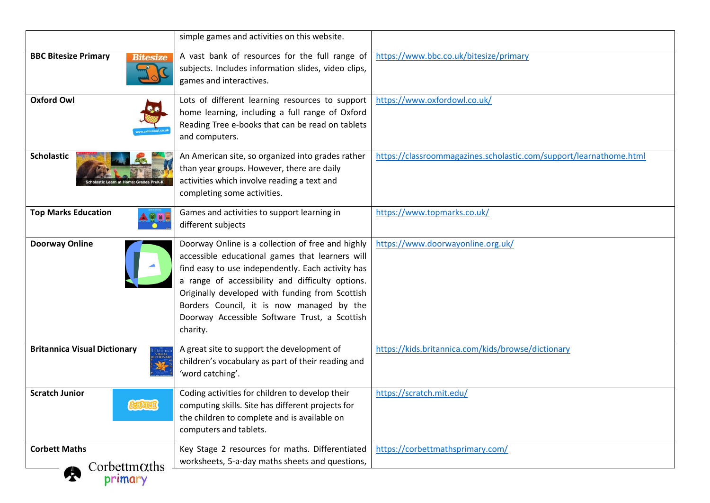|                                                                       | simple games and activities on this website.                                                                                                                                                                                                                                                                                                                               |                                                                    |
|-----------------------------------------------------------------------|----------------------------------------------------------------------------------------------------------------------------------------------------------------------------------------------------------------------------------------------------------------------------------------------------------------------------------------------------------------------------|--------------------------------------------------------------------|
| <b>BBC Bitesize Primary</b><br><b>Bitesize</b>                        | A vast bank of resources for the full range of<br>subjects. Includes information slides, video clips,<br>games and interactives.                                                                                                                                                                                                                                           | https://www.bbc.co.uk/bitesize/primary                             |
| <b>Oxford Owl</b>                                                     | Lots of different learning resources to support<br>home learning, including a full range of Oxford<br>Reading Tree e-books that can be read on tablets<br>and computers.                                                                                                                                                                                                   | https://www.oxfordowl.co.uk/                                       |
| <b>Scholastic</b>                                                     | An American site, so organized into grades rather<br>than year groups. However, there are daily<br>activities which involve reading a text and<br>completing some activities.                                                                                                                                                                                              | https://classroommagazines.scholastic.com/support/learnathome.html |
| <b>Top Marks Education</b>                                            | Games and activities to support learning in<br>different subjects                                                                                                                                                                                                                                                                                                          | https://www.topmarks.co.uk/                                        |
| <b>Doorway Online</b>                                                 | Doorway Online is a collection of free and highly<br>accessible educational games that learners will<br>find easy to use independently. Each activity has<br>a range of accessibility and difficulty options.<br>Originally developed with funding from Scottish<br>Borders Council, it is now managed by the<br>Doorway Accessible Software Trust, a Scottish<br>charity. | https://www.doorwayonline.org.uk/                                  |
| <b>Britannica Visual Dictionary</b><br>ritannic<br>visual<br>ictionar | A great site to support the development of<br>children's vocabulary as part of their reading and<br>'word catching'.                                                                                                                                                                                                                                                       | https://kids.britannica.com/kids/browse/dictionary                 |
| <b>Scratch Junior</b>                                                 | Coding activities for children to develop their<br>computing skills. Site has different projects for<br>the children to complete and is available on<br>computers and tablets.                                                                                                                                                                                             | https://scratch.mit.edu/                                           |
| <b>Corbett Maths</b><br>$Corbett m\alphaths$<br>Ą<br>primary          | Key Stage 2 resources for maths. Differentiated<br>worksheets, 5-a-day maths sheets and questions,                                                                                                                                                                                                                                                                         | https://corbettmathsprimary.com/                                   |